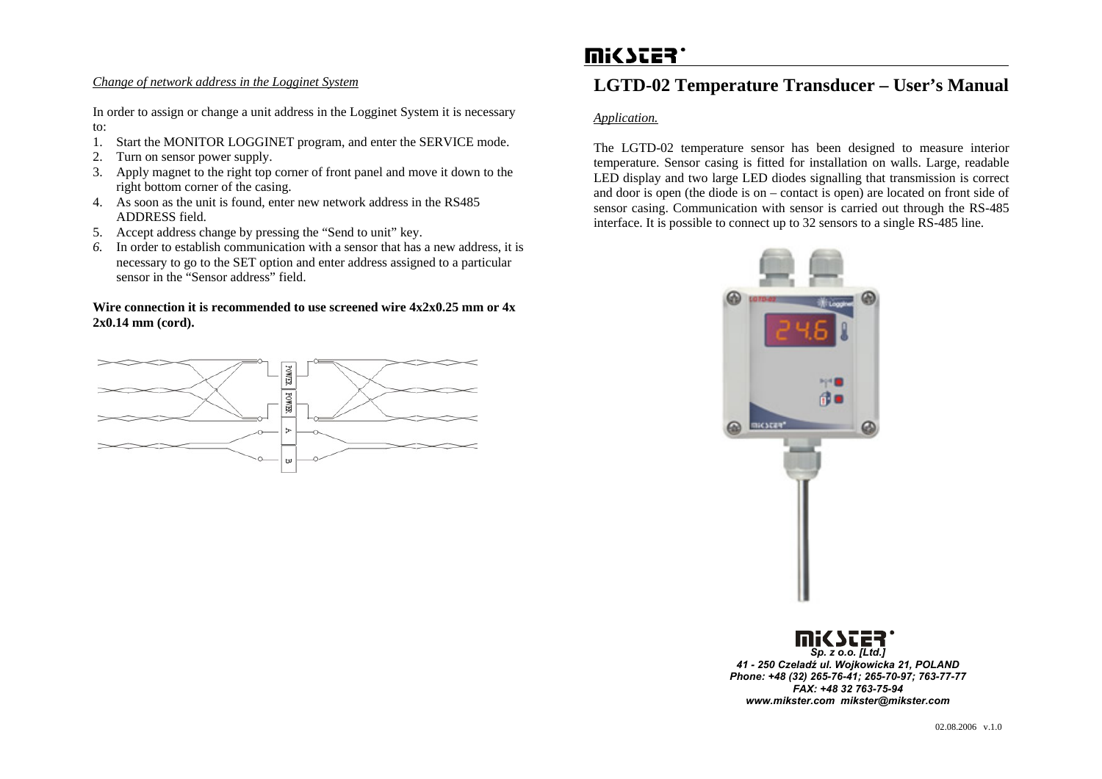#### *Change of network address in the Logginet System*

In order to assign or change a unit address in the Logginet System it is necessary to:

- 1.Start the MONITOR LOGGINET program, and enter the SERVICE mode.
- 2.Turn on sensor power supply.
- 3. Apply magnet to the right top corner of front panel and move it down to the right bottom corner of the casing.
- 4. As soon as the unit is found, enter new network address in the RS485 ADDRESS field.
- 5. Accept address change by pressing the "Send to unit" key.
- *6.* In order to establish communication with a sensor that has a new address, it is necessary to go to the SET option and enter address assigned to a particular sensor in the "Sensor address" field.

#### **Wire connection it is recommended to use screened wire 4x2x0.25 mm or 4x 2x0.14 mm (cord).**



# mi<br />
ster'

# **LGTD-02 Temperature Transducer – User's Manual**

# *Application.*

The LGTD-02 temperature sensor has been designed to measure interior temperature. Sensor casing is fitted for installation on walls. Large, readable LED display and two large LED diodes signalling that transmission is correct and door is open (the diode is on – contact is open) are located on front side of sensor casing. Communication with sensor is carried out through the RS-485 interface. It is possible to connect up to 32 sensors to a single RS-485 line.



# *Sp. z o.o. [Ltd.] 41 - 250 Czeladź ul. Wojkowicka 21, POLAND Phone: +48 (32) 265-76-41; 265-70-97; 763-77-77 FAX: +48 32 763-75-94 www.mikster.com mikster@mikster.com*